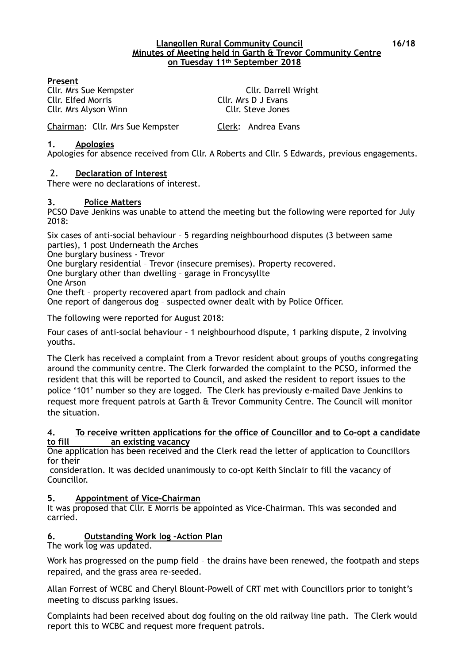#### **Llangollen Rural Community Council 16/18 Minutes of Meeting held in Garth & Trevor Community Centre on Tuesday 11th September 2018**

#### **Present**

Cllr. Elfed Morris Cllr. Mrs D J Evans Cllr. Mrs Alyson Winn Cllr. Steve Jones

Cllr. Mrs Sue Kempster Cllr. Darrell Wright

Chairman: Cllr. Mrs Sue Kempster Clerk: Andrea Evans

#### **1. Apologies**

Apologies for absence received from Cllr. A Roberts and Cllr. S Edwards, previous engagements.

#### 2. **Declaration of Interest**

There were no declarations of interest.

#### **3. Police Matters**

PCSO Dave Jenkins was unable to attend the meeting but the following were reported for July 2018:

Six cases of anti-social behaviour – 5 regarding neighbourhood disputes (3 between same parties), 1 post Underneath the Arches

One burglary business - Trevor

One burglary residential – Trevor (insecure premises). Property recovered.

One burglary other than dwelling – garage in Froncysyllte

One Arson

One theft – property recovered apart from padlock and chain

One report of dangerous dog – suspected owner dealt with by Police Officer.

The following were reported for August 2018:

Four cases of anti-social behaviour – 1 neighbourhood dispute, 1 parking dispute, 2 involving youths.

The Clerk has received a complaint from a Trevor resident about groups of youths congregating around the community centre. The Clerk forwarded the complaint to the PCSO, informed the resident that this will be reported to Council, and asked the resident to report issues to the police '101' number so they are logged. The Clerk has previously e-mailed Dave Jenkins to request more frequent patrols at Garth & Trevor Community Centre. The Council will monitor the situation.

#### **4. To receive written applications for the office of Councillor and to Co-opt a candidate to fill an existing vacancy**

One application has been received and the Clerk read the letter of application to Councillors for their

 consideration. It was decided unanimously to co-opt Keith Sinclair to fill the vacancy of Councillor.

#### **5. Appointment of Vice-Chairman**

It was proposed that Cllr. E Morris be appointed as Vice-Chairman. This was seconded and carried.

# **6. Outstanding Work log –Action Plan**

The work log was updated.

Work has progressed on the pump field – the drains have been renewed, the footpath and steps repaired, and the grass area re-seeded.

Allan Forrest of WCBC and Cheryl Blount-Powell of CRT met with Councillors prior to tonight's meeting to discuss parking issues.

Complaints had been received about dog fouling on the old railway line path. The Clerk would report this to WCBC and request more frequent patrols.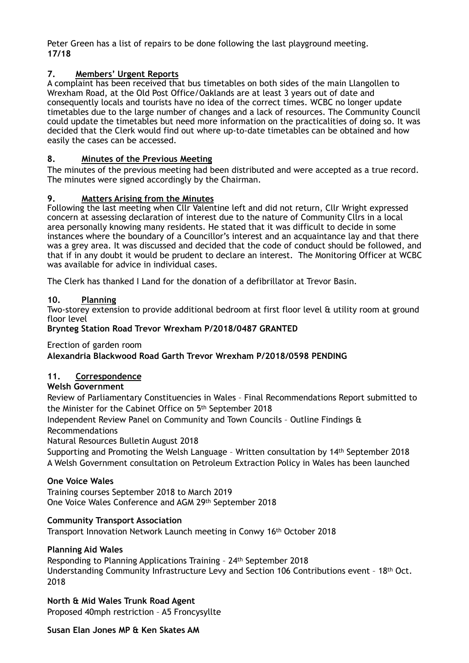Peter Green has a list of repairs to be done following the last playground meeting. **17/18** 

# **7. Members' Urgent Reports**

A complaint has been received that bus timetables on both sides of the main Llangollen to Wrexham Road, at the Old Post Office/Oaklands are at least 3 years out of date and consequently locals and tourists have no idea of the correct times. WCBC no longer update timetables due to the large number of changes and a lack of resources. The Community Council could update the timetables but need more information on the practicalities of doing so. It was decided that the Clerk would find out where up-to-date timetables can be obtained and how easily the cases can be accessed.

# **8. Minutes of the Previous Meeting**

The minutes of the previous meeting had been distributed and were accepted as a true record. The minutes were signed accordingly by the Chairman.

# **9. Matters Arising from the Minutes**

Following the last meeting when Cllr Valentine left and did not return, Cllr Wright expressed concern at assessing declaration of interest due to the nature of Community Cllrs in a local area personally knowing many residents. He stated that it was difficult to decide in some instances where the boundary of a Councillor's interest and an acquaintance lay and that there was a grey area. It was discussed and decided that the code of conduct should be followed, and that if in any doubt it would be prudent to declare an interest. The Monitoring Officer at WCBC was available for advice in individual cases.

The Clerk has thanked I Land for the donation of a defibrillator at Trevor Basin.

# **10. Planning**

Two-storey extension to provide additional bedroom at first floor level & utility room at ground floor level

#### **Brynteg Station Road Trevor Wrexham P/2018/0487 GRANTED**

Erection of garden room

# **Alexandria Blackwood Road Garth Trevor Wrexham P/2018/0598 PENDING**

# **11. Correspondence**

#### **Welsh Government**

Review of Parliamentary Constituencies in Wales – Final Recommendations Report submitted to the Minister for the Cabinet Office on 5th September 2018

Independent Review Panel on Community and Town Councils – Outline Findings & Recommendations

Natural Resources Bulletin August 2018

Supporting and Promoting the Welsh Language – Written consultation by 14th September 2018 A Welsh Government consultation on Petroleum Extraction Policy in Wales has been launched

#### **One Voice Wales**

Training courses September 2018 to March 2019 One Voice Wales Conference and AGM 29th September 2018

#### **Community Transport Association**

Transport Innovation Network Launch meeting in Conwy 16th October 2018

#### **Planning Aid Wales**

Responding to Planning Applications Training – 24th September 2018 Understanding Community Infrastructure Levy and Section 106 Contributions event – 18th Oct. 2018

**North & Mid Wales Trunk Road Agent**  Proposed 40mph restriction – A5 Froncysyllte

#### **Susan Elan Jones MP & Ken Skates AM**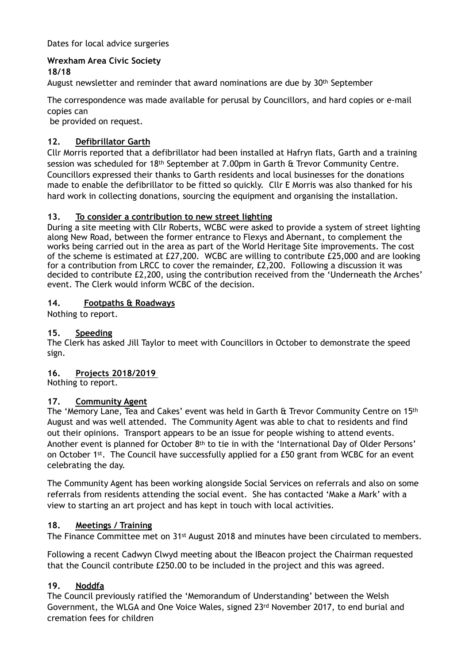Dates for local advice surgeries

# **Wrexham Area Civic Society**

**18/18** 

August newsletter and reminder that award nominations are due by 30th September

The correspondence was made available for perusal by Councillors, and hard copies or e-mail copies can

be provided on request.

# **12. Defibrillator Garth**

Cllr Morris reported that a defibrillator had been installed at Hafryn flats, Garth and a training session was scheduled for 18th September at 7.00pm in Garth & Trevor Community Centre. Councillors expressed their thanks to Garth residents and local businesses for the donations made to enable the defibrillator to be fitted so quickly. Cllr E Morris was also thanked for his hard work in collecting donations, sourcing the equipment and organising the installation.

# **13. To consider a contribution to new street lighting**

During a site meeting with Cllr Roberts, WCBC were asked to provide a system of street lighting along New Road, between the former entrance to Flexys and Abernant, to complement the works being carried out in the area as part of the World Heritage Site improvements. The cost of the scheme is estimated at £27,200. WCBC are willing to contribute £25,000 and are looking for a contribution from LRCC to cover the remainder, £2,200. Following a discussion it was decided to contribute £2,200, using the contribution received from the 'Underneath the Arches' event. The Clerk would inform WCBC of the decision.

# **14. Footpaths & Roadways**

Nothing to report.

# **15. Speeding**

The Clerk has asked Jill Taylor to meet with Councillors in October to demonstrate the speed sign.

#### **16. Projects 2018/2019**

Nothing to report.

#### **17. Community Agent**

The 'Memory Lane, Tea and Cakes' event was held in Garth & Trevor Community Centre on 15th August and was well attended. The Community Agent was able to chat to residents and find out their opinions. Transport appears to be an issue for people wishing to attend events. Another event is planned for October 8th to tie in with the 'International Day of Older Persons' on October 1<sup>st</sup>. The Council have successfully applied for a £50 grant from WCBC for an event celebrating the day.

The Community Agent has been working alongside Social Services on referrals and also on some referrals from residents attending the social event. She has contacted 'Make a Mark' with a view to starting an art project and has kept in touch with local activities.

# **18. Meetings / Training**

The Finance Committee met on 31st August 2018 and minutes have been circulated to members.

Following a recent Cadwyn Clwyd meeting about the IBeacon project the Chairman requested that the Council contribute £250.00 to be included in the project and this was agreed.

# **19. Noddfa**

The Council previously ratified the 'Memorandum of Understanding' between the Welsh Government, the WLGA and One Voice Wales, signed 23rd November 2017, to end burial and cremation fees for children